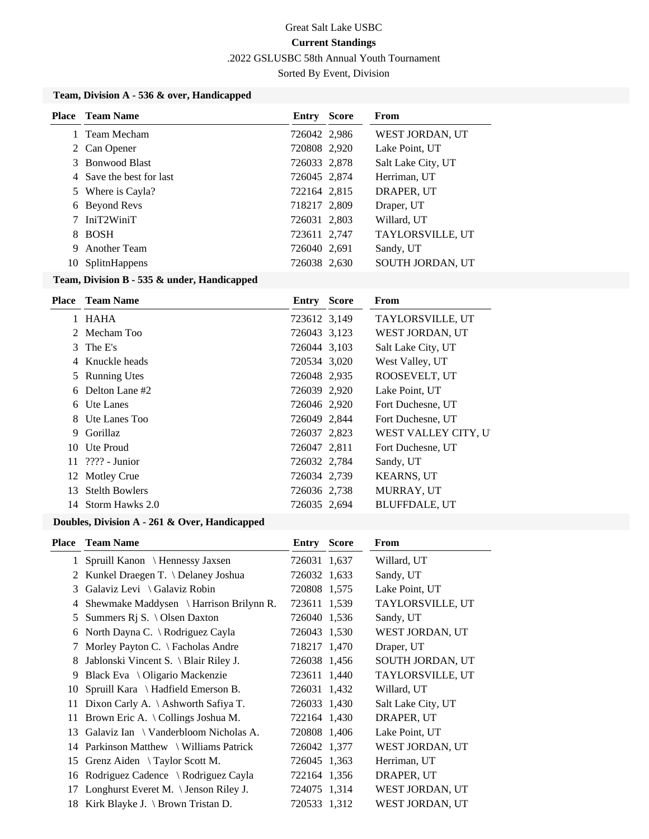.2022 GSLUSBC 58th Annual Youth Tournament

Sorted By Event, Division

### **Team, Division A - 536 & over, Handicapped**

| Place | Team Name                | <b>Entry Score</b> | <b>From</b>             |
|-------|--------------------------|--------------------|-------------------------|
|       | Team Mecham              | 726042 2,986       | WEST JORDAN, UT         |
|       | 2 Can Opener             | 720808 2,920       | Lake Point, UT          |
|       | 3 Bonwood Blast          | 726033 2,878       | Salt Lake City, UT      |
|       | 4 Save the best for last | 726045 2,874       | Herriman, UT            |
|       | 5 Where is Cayla?        | 722164 2,815       | DRAPER, UT              |
| 6     | Beyond Revs              | 718217 2,809       | Draper, UT              |
|       | IniT2WiniT               | 726031 2,803       | Willard, UT             |
| 8.    | <b>BOSH</b>              | 723611 2,747       | TAYLORSVILLE, UT        |
| 9     | <b>Another Team</b>      | 726040 2,691       | Sandy, UT               |
| 10    | <b>SplitnHappens</b>     | 726038 2,630       | <b>SOUTH JORDAN, UT</b> |

#### **Team, Division B - 535 & under, Handicapped**

|    | <b>Place</b> Team Name | Entry        | <b>Score</b> | From                 |
|----|------------------------|--------------|--------------|----------------------|
|    | 1 HAHA                 | 723612 3,149 |              | TAYLORSVILLE, UT     |
|    | 2 Mecham Too           | 726043 3,123 |              | WEST JORDAN, UT      |
|    | 3 The E's              | 726044 3,103 |              | Salt Lake City, UT   |
|    | 4 Knuckle heads        | 720534 3,020 |              | West Valley, UT      |
|    | 5 Running Utes         | 726048 2,935 |              | ROOSEVELT, UT        |
|    | 6 Delton Lane #2       | 726039 2,920 |              | Lake Point, UT       |
|    | 6 Ute Lanes            | 726046 2,920 |              | Fort Duchesne, UT    |
|    | 8 Ute Lanes Too        | 726049 2,844 |              | Fort Duchesne, UT    |
|    | 9 Gorillaz             | 726037 2,823 |              | WEST VALLEY CITY, U  |
|    | 10 Ute Proud           | 726047 2,811 |              | Fort Duchesne, UT    |
| 11 | $2222 - Junior$        | 726032 2,784 |              | Sandy, UT            |
|    | 12 Motley Crue         | 726034 2,739 |              | <b>KEARNS, UT</b>    |
|    | 13 Stelth Bowlers      | 726036 2,738 |              | MURRAY, UT           |
|    | 14 Storm Hawks 2.0     | 726035 2,694 |              | <b>BLUFFDALE, UT</b> |
|    |                        |              |              |                      |

## **Doubles, Division A - 261 & Over, Handicapped**

| <b>Place</b> | <b>Team Name</b>                         | <b>Entry Score</b> | From               |
|--------------|------------------------------------------|--------------------|--------------------|
|              | 1 Spruill Kanon \ Hennessy Jaxsen        | 726031 1,637       | Willard, UT        |
| 2            | Kunkel Draegen T. \ Delaney Joshua       | 726032 1,633       | Sandy, UT          |
| 3            | Galaviz Levi \ Galaviz Robin             | 720808 1,575       | Lake Point, UT     |
| 4            | Shewmake Maddysen \ Harrison Brilynn R.  | 723611 1,539       | TAYLORSVILLE, UT   |
| 5            | Summers R <sub>j</sub> S. \ Olsen Daxton | 726040 1,536       | Sandy, UT          |
| 6            | North Dayna C. \ Rodriguez Cayla         | 726043 1,530       | WEST JORDAN, UT    |
| 7            | Morley Payton C. \ Facholas Andre        | 718217 1,470       | Draper, UT         |
| 8            | Jablonski Vincent S. \ Blair Riley J.    | 726038 1,456       | SOUTH JORDAN, UT   |
| 9            | Black Eva $\setminus$ Oligario Mackenzie | 723611 1,440       | TAYLORSVILLE, UT   |
|              | 10 Spruill Kara \ Hadfield Emerson B.    | 726031 1,432       | Willard, UT        |
| 11           | Dixon Carly A. \ Ashworth Safiya T.      | 726033 1,430       | Salt Lake City, UT |
| 11           | Brown Eric A. \Collings Joshua M.        | 722164 1,430       | DRAPER, UT         |
|              | 13 Galaviz Ian \ Vanderbloom Nicholas A. | 720808 1,406       | Lake Point, UT     |
|              | 14 Parkinson Matthew \ Williams Patrick  | 726042 1,377       | WEST JORDAN, UT    |
|              | 15 Grenz Aiden \Taylor Scott M.          | 726045 1,363       | Herriman, UT       |
| 16           | Rodriguez Cadence \ Rodriguez Cayla      | 722164 1,356       | DRAPER, UT         |
| 17           | Longhurst Everet M. \ Jenson Riley J.    | 724075 1,314       | WEST JORDAN, UT    |
|              | 18 Kirk Blayke J. \ Brown Tristan D.     | 720533 1,312       | WEST JORDAN, UT    |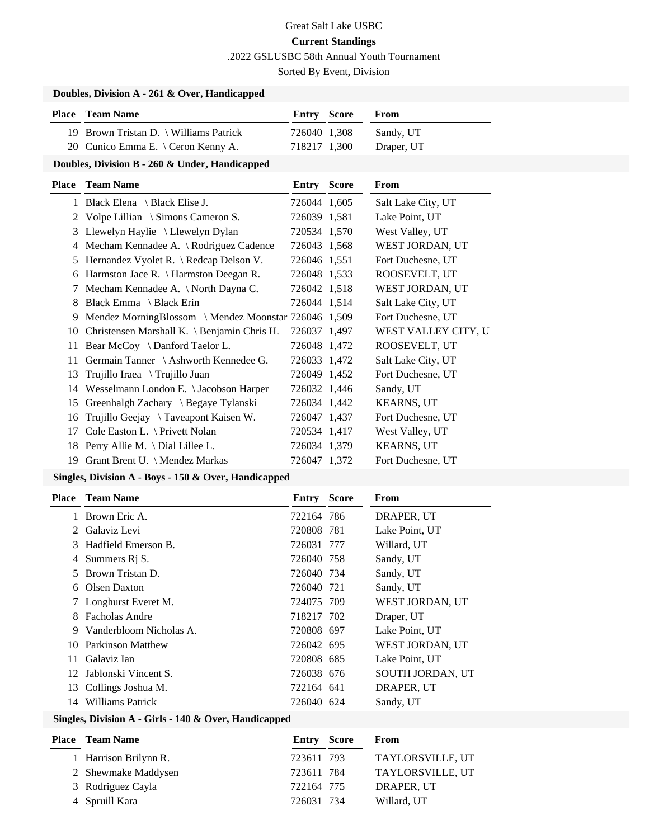.2022 GSLUSBC 58th Annual Youth Tournament

Sorted By Event, Division

## **Doubles, Division A - 261 & Over, Handicapped**

| <b>Place</b> Team Name                 | Entry Score  | From       |
|----------------------------------------|--------------|------------|
| 19 Brown Tristan D.   Williams Patrick | 726040 1,308 | Sandy, UT  |
| 20 Cunico Emma E. \ Ceron Kenny A.     | 718217 1.300 | Draper, UT |

### **Doubles, Division B - 260 & Under, Handicapped**

| Place | <b>Team Name</b>                                     | Entry        | <b>Score</b> | From                 |
|-------|------------------------------------------------------|--------------|--------------|----------------------|
|       | 1 Black Elena \ Black Elise J.                       | 726044 1,605 |              | Salt Lake City, UT   |
| 2     | Volpe Lillian \ Simons Cameron S.                    | 726039 1,581 |              | Lake Point, UT       |
| 3     | Llewelyn Haylie \ Llewelyn Dylan                     | 720534 1,570 |              | West Valley, UT      |
| 4     | Mecham Kennadee A. \ Rodriguez Cadence               | 726043 1,568 |              | WEST JORDAN, UT      |
| 5     | Hernandez Vyolet R. \ Redcap Delson V.               | 726046 1,551 |              | Fort Duchesne, UT    |
| 6     | Harmston Jace R. $\{$ Harmston Deegan R.             | 726048 1,533 |              | ROOSEVELT, UT        |
|       | Mecham Kennadee A. \ North Dayna C.                  | 726042 1,518 |              | WEST JORDAN, UT      |
| 8     | Black Emma $\ \ \$ Black Erin                        | 726044 1.514 |              | Salt Lake City, UT   |
| 9     | Mendez MorningBlossom \ Mendez Moonstar 726046 1,509 |              |              | Fort Duchesne, UT    |
| 10    | Christensen Marshall K. \ Benjamin Chris H.          | 726037 1,497 |              | WEST VALLEY CITY, UT |
| 11    | Bear McCoy $\setminus$ Danford Taelor L.             | 726048 1,472 |              | ROOSEVELT, UT        |
| 11    | Germain Tanner \ Ashworth Kennedee G.                | 726033 1,472 |              | Salt Lake City, UT   |
| 13    | Trujillo Iraea \ Trujillo Juan                       | 726049 1,452 |              | Fort Duchesne, UT    |
| 14    | Wesselmann London E. \ Jacobson Harper               | 726032 1,446 |              | Sandy, UT            |
| 15    | Greenhalgh Zachary \ Begaye Tylanski                 | 726034 1,442 |              | <b>KEARNS, UT</b>    |
| 16    | Trujillo Geejay \ Taveapont Kaisen W.                | 726047 1,437 |              | Fort Duchesne, UT    |
| 17    | Cole Easton L. $\langle$ Privett Nolan               | 720534 1,417 |              | West Valley, UT      |
| 18    | Perry Allie M. $\Delta$ Dial Lillee L.               | 726034 1,379 |              | <b>KEARNS, UT</b>    |
| 19    | Grant Brent U. \ Mendez Markas                       | 726047 1,372 |              | Fort Duchesne, UT    |
|       |                                                      |              |              |                      |

## **Singles, Division A - Boys - 150 & Over, Handicapped**

| Place | <b>Team Name</b>          | <b>Entry Score</b> | From                    |
|-------|---------------------------|--------------------|-------------------------|
|       | Brown Eric A.             | 722164 786         | DRAPER, UT              |
|       | 2 Galaviz Levi            | 720808 781         | Lake Point, UT          |
| 3     | Hadfield Emerson B.       | 726031 777         | Willard, UT             |
| 4     | Summers R <sub>j</sub> S. | 726040 758         | Sandy, UT               |
| 5.    | Brown Tristan D.          | 726040 734         | Sandy, UT               |
|       | 6 Olsen Daxton            | 726040 721         | Sandy, UT               |
|       | 7 Longhurst Everet M.     | 724075 709         | WEST JORDAN, UT         |
| 8.    | Facholas Andre            | 718217 702         | Draper, UT              |
| 9     | Vanderbloom Nicholas A.   | 720808 697         | Lake Point, UT          |
|       | 10 Parkinson Matthew      | 726042 695         | WEST JORDAN, UT         |
| 11    | Galaviz Ian               | 720808 685         | Lake Point, UT          |
|       | 12 Jablonski Vincent S.   | 726038 676         | <b>SOUTH JORDAN, UT</b> |
| 13    | Collings Joshua M.        | 722164 641         | DRAPER, UT              |
| 14    | Williams Patrick          | 726040 624         | Sandy, UT               |

#### **Singles, Division A - Girls - 140 & Over, Handicapped**

| <b>Place – Team Name</b> | <b>Entry Score</b> | From             |
|--------------------------|--------------------|------------------|
| 1 Harrison Brilynn R.    | 723611 793         | TAYLORSVILLE, UT |
| 2 Shewmake Maddysen      | 723611 784         | TAYLORSVILLE, UT |
| 3 Rodriguez Cayla        | 722164 775         | DRAPER, UT       |
| 4 Spruill Kara           | 726031 734         | Willard, UT      |
|                          |                    |                  |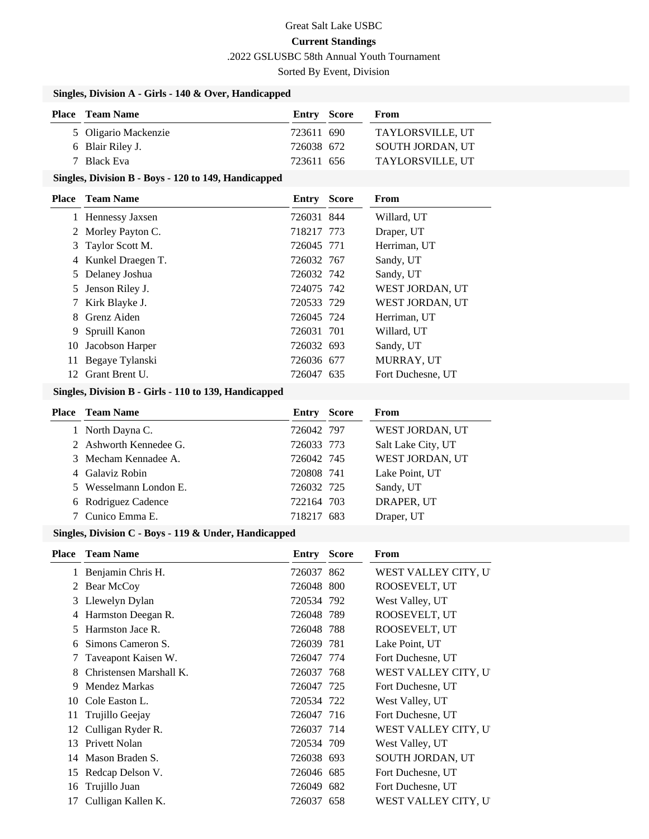.2022 GSLUSBC 58th Annual Youth Tournament

Sorted By Event, Division

## **Singles, Division A - Girls - 140 & Over, Handicapped**

| <b>Place</b> Team Name | <b>Entry Score</b> | From                    |
|------------------------|--------------------|-------------------------|
| 5 Oligario Mackenzie   | 723611 690         | TAYLORSVILLE, UT        |
| 6 Blair Riley J.       | 726038 672         | <b>SOUTH JORDAN, UT</b> |
| 7 Black Eva            | 723611 656         | TAYLORSVILLE, UT        |

## **Singles, Division B - Boys - 120 to 149, Handicapped**

| Place | <b>Team Name</b>    | <b>Entry Score</b> | <b>From</b>       |
|-------|---------------------|--------------------|-------------------|
|       | 1 Hennessy Jaxsen   | 726031 844         | Willard, UT       |
|       | 2 Morley Payton C.  | 718217 773         | Draper, UT        |
| 3     | Taylor Scott M.     | 726045 771         | Herriman, UT      |
|       | 4 Kunkel Draegen T. | 726032 767         | Sandy, UT         |
|       | 5 Delaney Joshua    | 726032 742         | Sandy, UT         |
| 5     | Jenson Riley J.     | 724075 742         | WEST JORDAN, UT   |
|       | Kirk Blayke J.      | 720533 729         | WEST JORDAN, UT   |
| 8.    | Grenz Aiden         | 726045 724         | Herriman, UT      |
| 9     | Spruill Kanon       | 726031 701         | Willard, UT       |
| 10    | Jacobson Harper     | 726032 693         | Sandy, UT         |
| 11    | Begaye Tylanski     | 726036 677         | MURRAY, UT        |
| 12.   | Grant Brent U.      | 726047 635         | Fort Duchesne, UT |
|       |                     |                    |                   |

## **Singles, Division B - Girls - 110 to 139, Handicapped**

| <b>Place</b> Team Name | <b>Entry Score</b> | From               |
|------------------------|--------------------|--------------------|
| 1 North Dayna C.       | 726042 797         | WEST JORDAN, UT    |
| 2 Ashworth Kennedee G. | 726033 773         | Salt Lake City, UT |
| 3 Mecham Kennadee A.   | 726042 745         | WEST JORDAN, UT    |
| 4 Galaviz Robin        | 720808 741         | Lake Point, UT     |
| 5 Wesselmann London E. | 726032 725         | Sandy, UT          |
| 6 Rodriguez Cadence    | 722164 703         | DRAPER, UT         |
| 7 Cunico Emma E.       | 718217 683         | Draper, UT         |

#### **Singles, Division C - Boys - 119 & Under, Handicapped**

| Place        | <b>Team Name</b>        | <b>Entry Score</b> | From                    |
|--------------|-------------------------|--------------------|-------------------------|
|              | Benjamin Chris H.       | 726037 862         | WEST VALLEY CITY, U     |
| $\mathbf{2}$ | Bear McCoy              | 726048 800         | ROOSEVELT, UT           |
| 3            | Llewelyn Dylan          | 720534 792         | West Valley, UT         |
| 4            | Harmston Deegan R.      | 726048 789         | ROOSEVELT, UT           |
| 5            | Harmston Jace R.        | 726048 788         | ROOSEVELT, UT           |
| 6            | Simons Cameron S.       | 726039 781         | Lake Point, UT          |
|              | Taveapont Kaisen W.     | 726047 774         | Fort Duchesne, UT       |
|              | Christensen Marshall K. | 726037 768         | WEST VALLEY CITY, U     |
| 9            | Mendez Markas           | 726047 725         | Fort Duchesne, UT       |
| 10           | Cole Easton L.          | 720534 722         | West Valley, UT         |
| 11           | Trujillo Geejay         | 726047 716         | Fort Duchesne, UT       |
| 12           | Culligan Ryder R.       | 726037 714         | WEST VALLEY CITY, U     |
| 13           | Privett Nolan           | 720534 709         | West Valley, UT         |
| 14           | Mason Braden S.         | 726038 693         | <b>SOUTH JORDAN, UT</b> |
| 15           | Redcap Delson V.        | 726046 685         | Fort Duchesne, UT       |
| 16           | Trujillo Juan           | 726049 682         | Fort Duchesne, UT       |
| 17           | Culligan Kallen K.      | 726037 658         | WEST VALLEY CITY, U'    |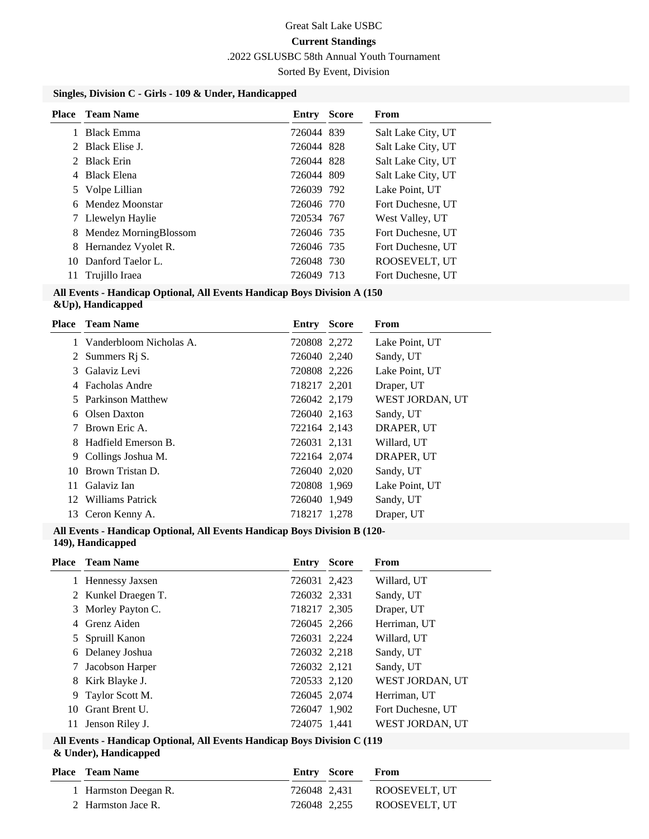.2022 GSLUSBC 58th Annual Youth Tournament

Sorted By Event, Division

## **Singles, Division C - Girls - 109 & Under, Handicapped**

| Place | Team Name             | Entry      | <b>Score</b> | <b>From</b>        |
|-------|-----------------------|------------|--------------|--------------------|
|       | <b>Black Emma</b>     | 726044 839 |              | Salt Lake City, UT |
|       | 2 Black Elise J.      | 726044 828 |              | Salt Lake City, UT |
|       | <b>Black Erin</b>     | 726044 828 |              | Salt Lake City, UT |
|       | <b>Black Elena</b>    | 726044 809 |              | Salt Lake City, UT |
|       | 5 Volpe Lillian       | 726039 792 |              | Lake Point, UT     |
|       | 6 Mendez Moonstar     | 726046 770 |              | Fort Duchesne, UT  |
|       | Llewelyn Haylie       | 720534 767 |              | West Valley, UT    |
| 8     | Mendez MorningBlossom | 726046 735 |              | Fort Duchesne, UT  |
| 8     | Hernandez Vyolet R.   | 726046 735 |              | Fort Duchesne, UT  |
| 10.   | Danford Taelor L.     | 726048 730 |              | ROOSEVELT, UT      |
| 11    | Trujillo Iraea        | 726049 713 |              | Fort Duchesne, UT  |

#### **All Events - Handicap Optional, All Events Handicap Boys Division A (150 &Up), Handicapped**

| Place | <b>Team Name</b>            | <b>Entry Score</b> | From            |
|-------|-----------------------------|--------------------|-----------------|
|       | 1 Vanderbloom Nicholas A.   | 720808 2,272       | Lake Point, UT  |
|       | 2 Summers R <sub>j</sub> S. | 726040 2,240       | Sandy, UT       |
| 3     | Galaviz Levi                | 720808 2,226       | Lake Point, UT  |
|       | 4 Facholas Andre            | 718217 2,201       | Draper, UT      |
| 5.    | Parkinson Matthew           | 726042 2,179       | WEST JORDAN, UT |
|       | 6 Olsen Daxton              | 726040 2,163       | Sandy, UT       |
|       | Brown Eric A.               | 722164 2,143       | DRAPER, UT      |
| 8.    | Hadfield Emerson B.         | 726031 2,131       | Willard, UT     |
| 9.    | Collings Joshua M.          | 722164 2,074       | DRAPER, UT      |
| 10    | Brown Tristan D.            | 726040 2,020       | Sandy, UT       |
| 11    | Galaviz Ian                 | 720808 1,969       | Lake Point, UT  |
|       | 12 Williams Patrick         | 726040 1,949       | Sandy, UT       |
| 13    | Ceron Kenny A.              | 718217 1,278       | Draper, UT      |

#### **All Events - Handicap Optional, All Events Handicap Boys Division B (120- 149), Handicapped**

|    | <b>Place</b> Team Name | Entry        | <b>Score</b> | From                   |
|----|------------------------|--------------|--------------|------------------------|
|    | 1 Hennessy Jaxsen      | 726031 2,423 |              | Willard, UT            |
|    | 2 Kunkel Draegen T.    | 726032 2,331 |              | Sandy, UT              |
|    | 3 Morley Payton C.     | 718217 2,305 |              | Draper, UT             |
|    | Grenz Aiden            | 726045 2,266 |              | Herriman, UT           |
|    | 5 Spruill Kanon        | 726031 2,224 |              | Willard, UT            |
| 6  | Delaney Joshua         | 726032 2,218 |              | Sandy, UT              |
|    | Jacobson Harper        | 726032 2,121 |              | Sandy, UT              |
| 8  | Kirk Blayke J.         | 720533 2,120 |              | WEST JORDAN, UT        |
| 9  | Taylor Scott M.        | 726045 2,074 |              | Herriman, UT           |
| 10 | Grant Brent U.         | 726047 1,902 |              | Fort Duchesne, UT      |
| 11 | Jenson Riley J.        | 724075 1.441 |              | <b>WEST JORDAN, UT</b> |

#### **All Events - Handicap Optional, All Events Handicap Boys Division C (119 & Under), Handicapped**

| <b>Place – Team Name</b> | Entry Score  | <b>From</b>                |
|--------------------------|--------------|----------------------------|
| 1 Harmston Deegan R.     |              | 726048 2.431 ROOSEVELT. UT |
| 2 Harmston Jace R.       | 726048 2.255 | ROOSEVELT. UT              |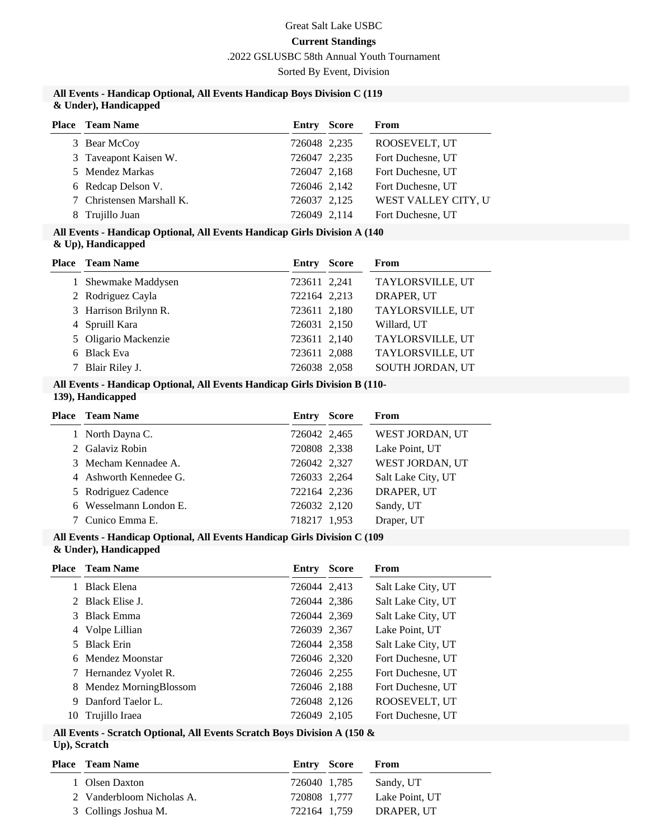.2022 GSLUSBC 58th Annual Youth Tournament

Sorted By Event, Division

#### **All Events - Handicap Optional, All Events Handicap Boys Division C (119 & Under), Handicapped**

| <b>Place</b> Team Name    | Entry        | <b>Score</b> | From                 |
|---------------------------|--------------|--------------|----------------------|
| 3 Bear McCoy              | 726048 2,235 |              | ROOSEVELT, UT        |
| 3 Taveapont Kaisen W.     | 726047 2,235 |              | Fort Duchesne, UT    |
| 5 Mendez Markas           | 726047 2.168 |              | Fort Duchesne, UT    |
| 6 Redcap Delson V.        | 726046 2,142 |              | Fort Duchesne, UT    |
| 7 Christensen Marshall K. | 726037 2,125 |              | WEST VALLEY CITY, UT |
| Trujillo Juan             | 726049 2,114 |              | Fort Duchesne, UT    |

## **All Events - Handicap Optional, All Events Handicap Girls Division A (140**

|  |  | & Up), Handicapped |
|--|--|--------------------|
|--|--|--------------------|

| <b>Place</b> Team Name | <b>Entry Score</b> | From             |
|------------------------|--------------------|------------------|
| 1 Shewmake Maddysen    | 723611 2,241       | TAYLORSVILLE, UT |
| 2 Rodriguez Cayla      | 722164 2,213       | DRAPER, UT       |
| 3 Harrison Brilynn R.  | 723611 2,180       | TAYLORSVILLE, UT |
| 4 Spruill Kara         | 726031 2,150       | Willard, UT      |
| 5 Oligario Mackenzie   | 723611 2,140       | TAYLORSVILLE, UT |
| 6 Black Eva            | 723611 2,088       | TAYLORSVILLE, UT |
| Blair Riley J.         | 726038 2,058       | SOUTH JORDAN, UT |

#### **All Events - Handicap Optional, All Events Handicap Girls Division B (110- 139), Handicapped**

| <b>Place</b> Team Name | Entry        | <b>Score</b> | From               |
|------------------------|--------------|--------------|--------------------|
| 1 North Dayna C.       | 726042 2,465 |              | WEST JORDAN, UT    |
| 2 Galaviz Robin        | 720808 2,338 |              | Lake Point, UT     |
| 3 Mecham Kennadee A.   | 726042 2,327 |              | WEST JORDAN, UT    |
| 4 Ashworth Kennedee G. | 726033 2,264 |              | Salt Lake City, UT |
| 5 Rodriguez Cadence    | 722164 2,236 |              | DRAPER, UT         |
| 6 Wesselmann London E. | 726032 2,120 |              | Sandy, UT          |
| Cunico Emma E.         | 718217 1,953 |              | Draper, UT         |

## **All Events - Handicap Optional, All Events Handicap Girls Division C (109**

**& Under), Handicapped**

|    | <b>Place</b> Team Name  | Entry        | Score | From               |
|----|-------------------------|--------------|-------|--------------------|
|    | <b>Black Elena</b>      | 726044 2,413 |       | Salt Lake City, UT |
|    | 2 Black Elise J.        | 726044 2,386 |       | Salt Lake City, UT |
|    | 3 Black Emma            | 726044 2,369 |       | Salt Lake City, UT |
|    | 4 Volpe Lillian         | 726039 2,367 |       | Lake Point, UT     |
| 5. | <b>Black Erin</b>       | 726044 2,358 |       | Salt Lake City, UT |
|    | 6 Mendez Moonstar       | 726046 2,320 |       | Fort Duchesne, UT  |
|    | 7 Hernandez Vyolet R.   | 726046 2,255 |       | Fort Duchesne, UT  |
|    | 8 Mendez MorningBlossom | 726046 2,188 |       | Fort Duchesne, UT  |
| 9  | Danford Taelor L.       | 726048 2,126 |       | ROOSEVELT, UT      |
| 10 | Trujillo Iraea          | 726049 2,105 |       | Fort Duchesne, UT  |

#### **All Events - Scratch Optional, All Events Scratch Boys Division A (150 & Up), Scratch**

| <b>Place – Team Name</b>  | <b>Entry Score</b> | From           |
|---------------------------|--------------------|----------------|
| 1 Olsen Daxton            | 726040 1.785       | Sandy, UT      |
| 2 Vanderbloom Nicholas A. | 720808 1.777       | Lake Point, UT |
| 3 Collings Joshua M.      | 722164 1.759       | DRAPER. UT     |
|                           |                    |                |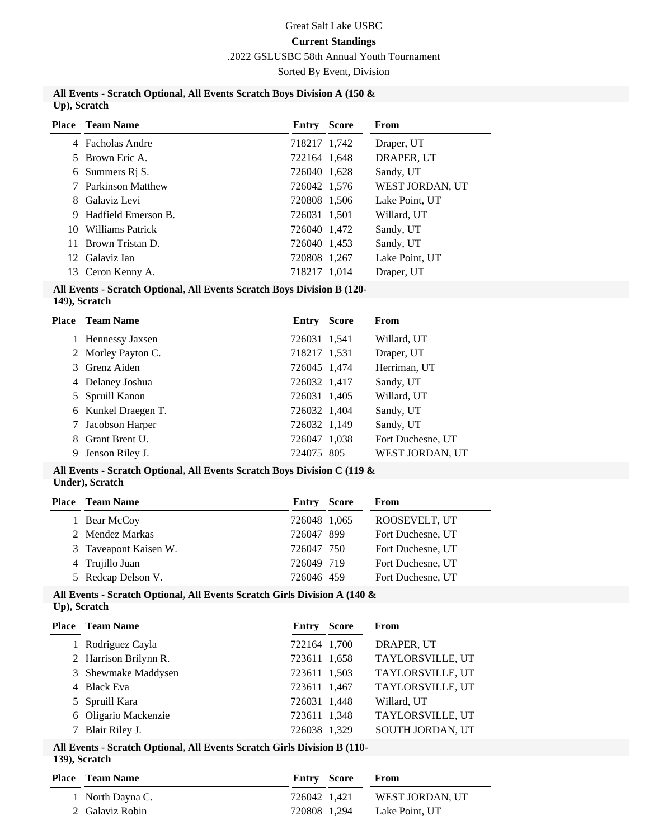# Great Salt Lake USBC

# **Current Standings**

.2022 GSLUSBC 58th Annual Youth Tournament

Sorted By Event, Division

#### **All Events - Scratch Optional, All Events Scratch Boys Division A (150 & Up), Scratch**

| WEST JORDAN, UT |
|-----------------|
| Lake Point, UT  |
|                 |
|                 |
|                 |
| Lake Point, UT  |
|                 |
|                 |

# **All Events - Scratch Optional, All Events Scratch Boys Division B (120-**

**<sup>149),</sup> Scratch**

| Place | <b>Team Name</b>    | Entry        | <b>Score</b> | From              |
|-------|---------------------|--------------|--------------|-------------------|
|       | 1 Hennessy Jaxsen   | 726031 1,541 |              | Willard, UT       |
|       | 2 Morley Payton C.  | 718217 1,531 |              | Draper, UT        |
|       | 3 Grenz Aiden       | 726045 1,474 |              | Herriman, UT      |
|       | 4 Delaney Joshua    | 726032 1,417 |              | Sandy, UT         |
|       | 5 Spruill Kanon     | 726031 1,405 |              | Willard, UT       |
|       | 6 Kunkel Draegen T. | 726032 1,404 |              | Sandy, UT         |
| 7     | Jacobson Harper     | 726032 1,149 |              | Sandy, UT         |
| 8.    | Grant Brent U.      | 726047 1,038 |              | Fort Duchesne, UT |
| 9     | Jenson Riley J.     | 724075 805   |              | WEST JORDAN, UT   |

#### **All Events - Scratch Optional, All Events Scratch Boys Division C (119 & Under), Scratch**

| <b>Place</b> Team Name | Entry | From                                                                          |
|------------------------|-------|-------------------------------------------------------------------------------|
| 1 Bear McCoy           |       | ROOSEVELT, UT                                                                 |
| 2 Mendez Markas        |       | Fort Duchesne, UT                                                             |
| 3 Taveapont Kaisen W.  |       | Fort Duchesne, UT                                                             |
| 4 Trujillo Juan        |       | Fort Duchesne, UT                                                             |
| 5 Redcap Delson V.     |       | Fort Duchesne, UT                                                             |
|                        |       | Score<br>726048 1,065<br>726047 899<br>726047 750<br>726049 719<br>726046 459 |

#### **All Events - Scratch Optional, All Events Scratch Girls Division A (140 & Up), Scratch**

| <b>Place</b> Team Name | Entry        | <b>Score</b> | From             |
|------------------------|--------------|--------------|------------------|
| 1 Rodriguez Cayla      | 722164 1,700 |              | DRAPER, UT       |
| 2 Harrison Brilynn R.  | 723611 1,658 |              | TAYLORSVILLE, UT |
| 3 Shewmake Maddysen    | 723611 1,503 |              | TAYLORSVILLE, UT |
| 4 Black Eva            | 723611 1,467 |              | TAYLORSVILLE, UT |
| 5 Spruill Kara         | 726031 1,448 |              | Willard, UT      |
| 6 Oligario Mackenzie   | 723611 1,348 |              | TAYLORSVILLE, UT |
| Blair Riley J.         | 726038 1,329 |              | SOUTH JORDAN, UT |

# **All Events - Scratch Optional, All Events Scratch Girls Division B (110-**

| <b>Place – Team Name</b> | Entry Score  | <b>From</b>     |
|--------------------------|--------------|-----------------|
| 1 North Dayna C.         | 726042 1.421 | WEST JORDAN. UT |
| 2 Galaviz Robin          | 720808 1.294 | Lake Point. UT  |